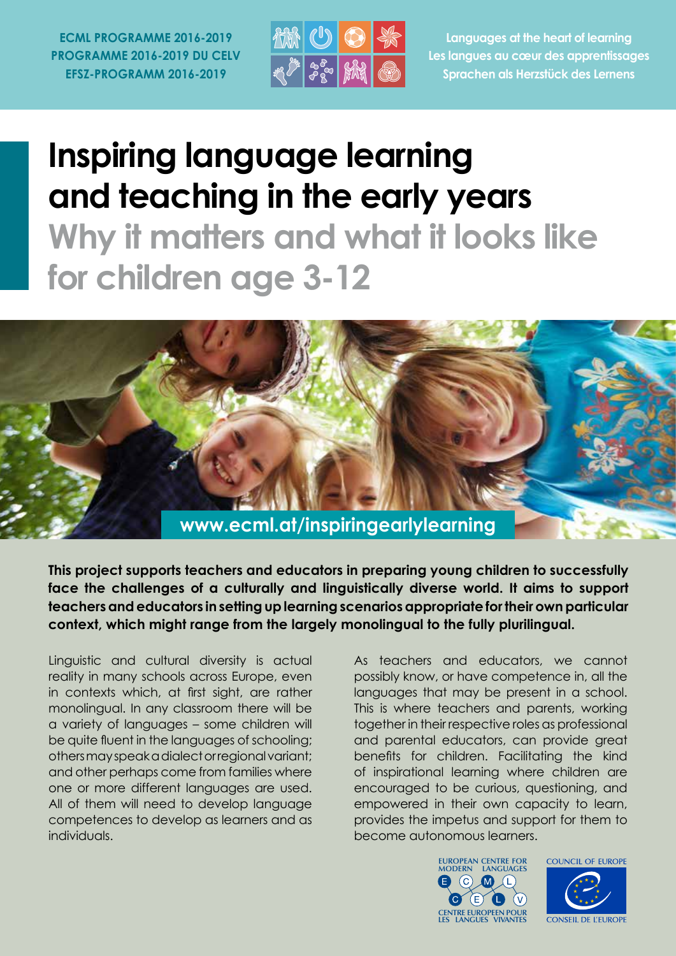**ECML PROGRAMME 2016-2019 PROGRAMME 2016-2019 DU CELV EFSZ-PROGRAMM 2016-2019**



**Languages at the heart of learning Les langues au cœur des apprentissages Sprachen als Herzstück des Lernens**

# **Inspiring language learning and teaching in the early years Why it matters and what it looks like**

**for children age 3-12**



**This project supports teachers and educators in preparing young children to successfully face the challenges of a culturally and linguistically diverse world. It aims to support teachers and educators in setting up learning scenarios appropriate for their own particular context, which might range from the largely monolingual to the fully plurilingual.**

Linguistic and cultural diversity is actual reality in many schools across Europe, even in contexts which, at first sight, are rather monolingual. In any classroom there will be a variety of languages – some children will be quite fluent in the languages of schooling; others may speak a dialect or regional variant; and other perhaps come from families where one or more different languages are used. All of them will need to develop language competences to develop as learners and as individuals.

As teachers and educators, we cannot possibly know, or have competence in, all the languages that may be present in a school. This is where teachers and parents, working together in their respective roles as professional and parental educators, can provide great benefits for children. Facilitating the kind of inspirational learning where children are encouraged to be curious, questioning, and empowered in their own capacity to learn, provides the impetus and support for them to become autonomous learners.